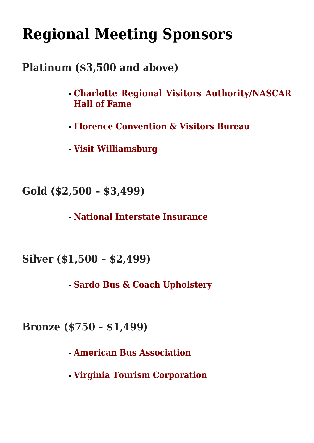# **[Regional Meeting Sponsors](http://www.scmotorcoach.org/regional-meeting-sponsors/)**

### **Platinum (\$3,500 and above)**

- **Charlotte Regional Visitors Authority/NASCAR Hall of Fame**
- **Florence Convention & Visitors Bureau**
- **Visit Williamsburg**

**Gold (\$2,500 – \$3,499)**

**National Interstate Insurance**

**Silver (\$1,500 – \$2,499)**

**Sardo Bus & Coach Upholstery**

**Bronze (\$750 – \$1,499)**

- **American Bus Association**
- **Virginia Tourism Corporation**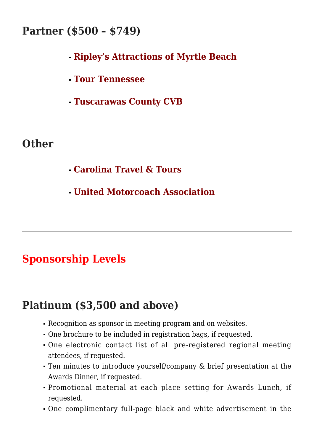#### **Partner (\$500 – \$749)**

- **Ripley's Attractions of Myrtle Beach**
- **Tour Tennessee**
- **Tuscarawas County CVB**

#### **Other**

- **Carolina Travel & Tours**
- **United Motorcoach Association**

## **Sponsorship Levels**

### **Platinum (\$3,500 and above)**

- Recognition as sponsor in meeting program and on websites.
- One brochure to be included in registration bags, if requested.
- One electronic contact list of all pre-registered regional meeting attendees, if requested.
- Ten minutes to introduce yourself/company & brief presentation at the Awards Dinner, if requested.
- Promotional material at each place setting for Awards Lunch, if requested.
- One complimentary full-page black and white advertisement in the